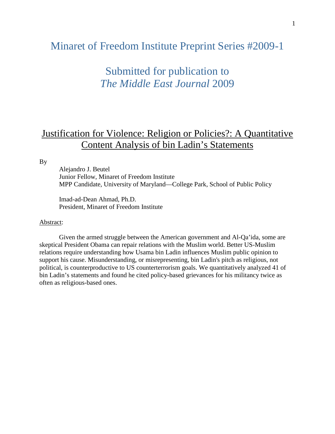## Minaret of Freedom Institute Preprint Series #2009-1

# Submitted for publication to *The Middle East Journal* 2009

## Justification for Violence: Religion or Policies?: A Quantitative Content Analysis of bin Ladin's Statements

By

Alejandro J. Beutel Junior Fellow, Minaret of Freedom Institute MPP Candidate, University of Maryland—College Park, School of Public Policy

Imad-ad-Dean Ahmad, Ph.D. President, Minaret of Freedom Institute

## Abstract:

Given the armed struggle between the American government and Al-Qa'ida, some are skeptical President Obama can repair relations with the Muslim world. Better US-Muslim relations require understanding how Usama bin Ladin influences Muslim public opinion to support his cause. Misunderstanding, or misrepresenting, bin Ladin's pitch as religious, not political, is counterproductive to US counterterrorism goals. We quantitatively analyzed 41 of bin Ladin's statements and found he cited policy-based grievances for his militancy twice as often as religious-based ones.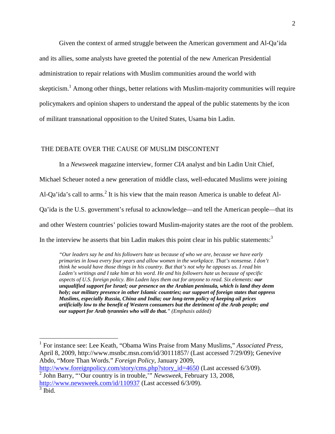Given the context of armed struggle between the American government and Al-Qa'ida and its allies, some analysts have greeted the potential of the new American Presidential administration to repair relations with Muslim communities around the world with skepticism.<sup>1</sup> Among other things, better relations with Muslim-majority communities will require policymakers and opinion shapers to understand the appeal of the public statements by the icon of militant transnational opposition to the United States, Usama bin Ladin.

### THE DEBATE OVER THE CAUSE OF MUSLIM DISCONTENT

In a *Newsweek* magazine interview, former *CIA* analyst and bin Ladin Unit Chief, Michael Scheuer noted a new generation of middle class, well-educated Muslims were joining Al-Qa'ida's call to arms.<sup>2</sup> It is his view that the main reason America is unable to defeat Al-Qa'ida is the U.S. government's refusal to acknowledge—and tell the American people—that its and other Western countries' policies toward Muslim-majority states are the root of the problem. In the interview he asserts that bin Ladin makes this point clear in his public statements: $3$ 

*"Our leaders say he and his followers hate us because of who we are, because we have early primaries in Iowa every four years and allow women in the workplace. That's nonsense. I don't think he would have those things in his country. But that's not why he opposes us. I read bin Laden's writings and I take him at his word. He and his followers hate us because of specific aspects of U.S. foreign policy. Bin Laden lays them out for anyone to read. Six elements: our unqualified support for Israel; our presence on the Arabian peninsula, which is land they deem holy; our military presence in other Islamic countries; our support of foreign states that oppress Muslims, especially Russia, China and India; our long-term policy of keeping oil prices artificially low to the benefit of Western consumers but the detriment of the Arab people; and our support for Arab tyrannies who will do that." (Emphasis added)*

http://www.foreignpolicy.com/story/cms.php?story\_id=4650 (Last accessed 6/3/09).

<sup>1</sup> For instance see: Lee Keath, "Obama Wins Praise from Many Muslims," *Associated Press*, April 8, 2009, http://www.msnbc.msn.com/id/30111857/ (Last accessed 7/29/09); Genevive Abdo, "More Than Words." *Foreign Policy*, January 2009,

<sup>2</sup> John Barry, "'Our country is in trouble,'" *Newsweek*, February 13, 2008, http://www.newsweek.com/id/110937 (Last accessed 6/3/09).

 $3$  Ibid.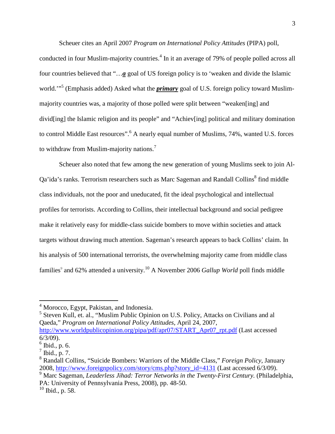Scheuer cites an April 2007 *Program on International Policy Attitudes* (PIPA) poll, conducted in four Muslim-majority countries.<sup>4</sup> In it an average of 79% of people polled across all four countries believed that "…*a* goal of US foreign policy is to 'weaken and divide the Islamic world.'"<sup>5</sup> (Emphasis added) Asked what the *primary* goal of U.S. foreign policy toward Muslimmajority countries was, a majority of those polled were split between "weaken[ing] and divid[ing] the Islamic religion and its people" and "Achiev[ing] political and military domination to control Middle East resources".<sup>6</sup> A nearly equal number of Muslims, 74%, wanted U.S. forces to withdraw from Muslim-majority nations.<sup>7</sup>

Scheuer also noted that few among the new generation of young Muslims seek to join Al-Qa'ida's ranks. Terrorism researchers such as Marc Sageman and Randall Collins<sup>8</sup> find middle class individuals, not the poor and uneducated, fit the ideal psychological and intellectual profiles for terrorists. According to Collins, their intellectual background and social pedigree make it relatively easy for middle-class suicide bombers to move within societies and attack targets without drawing much attention. Sageman's research appears to back Collins' claim. In his analysis of 500 international terrorists, the overwhelming majority came from middle class families<sup>9</sup> and 62% attended a university.<sup>10</sup> A November 2006 *Gallup World* poll finds middle

<sup>5</sup> Steven Kull, et. al., "Muslim Public Opinion on U.S. Policy, Attacks on Civilians and al Qaeda," *Program on International Policy Attitudes*, April 24, 2007, http://www.worldpublicopinion.org/pipa/pdf/apr07/START\_Apr07\_rpt.pdf (Last accessed 6/3/09).

<sup>&</sup>lt;sup>4</sup> Morocco, Egypt, Pakistan, and Indonesia.

<sup>6</sup> Ibid., p. 6.

 $^7$  Ibid., p. 7.

<sup>8</sup> Randall Collins, "Suicide Bombers: Warriors of the Middle Class," *Foreign Policy*, January 2008, http://www.foreignpolicy.com/story/cms.php?story\_id=4131 (Last accessed 6/3/09).

<sup>9</sup> Marc Sageman, *Leaderless Jihad: Terror Networks in the Twenty-First Century.* (Philadelphia, PA: University of Pennsylvania Press, 2008), pp. 48-50.

 $10$  Ibid., p. 58.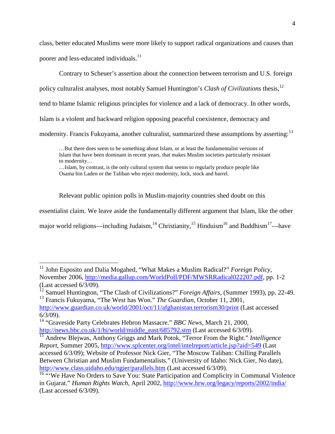class, better educated Muslims were more likely to support radical organizations and causes than poorer and less-educated individuals.<sup>11</sup>

Contrary to Scheuer's assertion about the connection between terrorism and U.S. foreign policy culturalist analyses, most notably Samuel Huntington's *Clash of Civilizations* thesis,<sup>12</sup> tend to blame Islamic religious principles for violence and a lack of democracy. In other words, Islam is a violent and backward religion opposing peaceful coexistence, democracy and modernity. Francis Fukuyama, another culturalist, summarized these assumptions by asserting:<sup>13</sup>

…But there does seem to be something about Islam, or at least the fundamentalist versions of Islam that have been dominant in recent years, that makes Muslim societies particularly resistant to modernity…

…Islam, by contrast, is the only cultural system that seems to regularly produce people like Osama bin Laden or the Taliban who reject modernity, lock, stock and barrel.

Relevant public opinion polls in Muslim-majority countries shed doubt on this

essentialist claim. We leave aside the fundamentally different argument that Islam, like the other

major world religions—including Judaism,<sup>14</sup> Christianity,<sup>15</sup> Hinduism<sup>16</sup> and Buddhism<sup>17</sup>—have

<sup>&</sup>lt;sup>11</sup> John Esposito and Dalia Mogahed, "What Makes a Muslim Radical?" *Foreign Policy*, November 2006, http://media.gallup.com/WorldPoll/PDF/MWSRRadical022207.pdf, pp. 1-2 (Last accessed 6/3/09).

<sup>&</sup>lt;sup>12</sup> Samuel Huntington, "The Clash of Civilizations?" *Foreign Affairs*, (Summer 1993), pp. 22-49. <sup>13</sup> Francis Fukuyama, "The West has Won." *The Guardian*, October 11, 2001,

http://www.guardian.co.uk/world/2001/oct/11/afghanistan.terrorism30/print (Last accessed 6/3/09).

<sup>14</sup> "Graveside Party Celebrates Hebron Massacre." *BBC News*, March 21, 2000, http://news.bbc.co.uk/1/hi/world/middle\_east/685792.stm (Last accessed 6/3/09).

<sup>15</sup> Andrew Blejwas, Anthony Griggs and Mark Potok, "Terror From the Right." *Intelligence Report*, Summer 2005, http://www.splcenter.org/intel/intelreport/article.jsp?aid=549 (Last accessed 6/3/09); Website of Professor Nick Gier, "The Moscow Taliban: Chilling Parallels Between Christian and Muslim Fundamentalists." (University of Idaho: Nick Gier, No date), http://www.class.uidaho.edu/ngier/parallels.htm (Last accessed 6/3/09).

<sup>&</sup>lt;sup>16 "</sup>We Have No Orders to Save You: State Participation and Complicity in Communal Violence in Gujarat." *Human Rights Watch*, April 2002, http://www.hrw.org/legacy/reports/2002/india/ (Last accessed 6/3/09).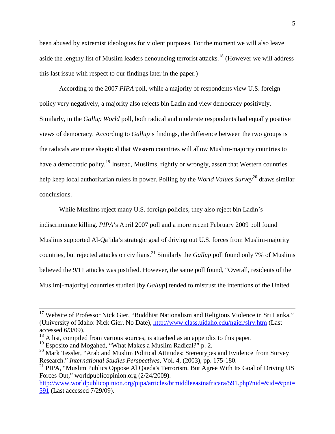been abused by extremist ideologues for violent purposes. For the moment we will also leave aside the lengthy list of Muslim leaders denouncing terrorist attacks.<sup>18</sup> (However we will address this last issue with respect to our findings later in the paper.)

According to the 2007 *PIPA* poll, while a majority of respondents view U.S. foreign policy very negatively, a majority also rejects bin Ladin and view democracy positively. Similarly, in the *Gallup World* poll, both radical and moderate respondents had equally positive views of democracy. According to *Gallup*'s findings, the difference between the two groups is the radicals are more skeptical that Western countries will allow Muslim-majority countries to have a democratic polity.<sup>19</sup> Instead, Muslims, rightly or wrongly, assert that Western countries help keep local authoritarian rulers in power. Polling by the *World Values Survey*<sup>20</sup> draws similar conclusions.

While Muslims reject many U.S. foreign policies, they also reject bin Ladin's indiscriminate killing. *PIPA*'s April 2007 poll and a more recent February 2009 poll found Muslims supported Al-Qa'ida's strategic goal of driving out U.S. forces from Muslim-majority countries, but rejected attacks on civilians.<sup>21</sup> Similarly the *Gallup* poll found only 7% of Muslims believed the 9/11 attacks was justified. However, the same poll found, "Overall, residents of the Muslim[-majority] countries studied [by *Gallup*] tended to mistrust the intentions of the United

<sup>&</sup>lt;sup>17</sup> Website of Professor Nick Gier, "Buddhist Nationalism and Religious Violence in Sri Lanka." (University of Idaho: Nick Gier, No Date), http://www.class.uidaho.edu/ngier/slrv.htm (Last accessed 6/3/09).

<sup>&</sup>lt;sup>18</sup> A list, compiled from various sources, is attached as an appendix to this paper.

<sup>&</sup>lt;sup>19</sup> Esposito and Mogahed, "What Makes a Muslim Radical?" p. 2.

 $^{20}$  Mark Tessler, "Arab and Muslim Political Attitudes: Stereotypes and Evidence from Survey Research." *International Studies Perspectives*, Vol. 4, (2003), pp. 175-180.

<sup>&</sup>lt;sup>21</sup> PIPA, "Muslim Publics Oppose Al Qaeda's Terrorism, But Agree With Its Goal of Driving US Forces Out," worldpublicopinion.org (2/24/2009).

http://www.worldpublicopinion.org/pipa/articles/brmiddleeastnafricara/591.php?nid=&id=&pnt= 591 (Last accessed 7/29/09).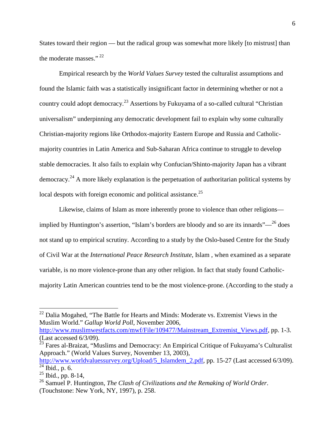States toward their region — but the radical group was somewhat more likely [to mistrust] than the moderate masses." <sup>22</sup>

Empirical research by the *World Values Survey* tested the culturalist assumptions and found the Islamic faith was a statistically insignificant factor in determining whether or not a country could adopt democracy.<sup>23</sup> Assertions by Fukuyama of a so-called cultural "Christian" universalism" underpinning any democratic development fail to explain why some culturally Christian-majority regions like Orthodox-majority Eastern Europe and Russia and Catholicmajority countries in Latin America and Sub-Saharan Africa continue to struggle to develop stable democracies. It also fails to explain why Confucian/Shinto-majority Japan has a vibrant democracy.<sup>24</sup> A more likely explanation is the perpetuation of authoritarian political systems by local despots with foreign economic and political assistance.<sup>25</sup>

Likewise, claims of Islam as more inherently prone to violence than other religions implied by Huntington's assertion, "Islam's borders are bloody and so are its innards" $-$ <sup>26</sup> does not stand up to empirical scrutiny. According to a study by the Oslo-based Centre for the Study of Civil War at the *International Peace Research Institute*, Islam , when examined as a separate variable, is no more violence-prone than any other religion. In fact that study found Catholicmajority Latin American countries tend to be the most violence-prone. (According to the study a

http://www.muslimwestfacts.com/mwf/File/109477/Mainstream\_Extremist\_Views.pdf, pp. 1-3. (Last accessed 6/3/09).

<sup>&</sup>lt;sup>22</sup> Dalia Mogahed, "The Battle for Hearts and Minds: Moderate vs. Extremist Views in the Muslim World." *Gallup World Poll*, November 2006,

 $^{23}$  Fares al-Braizat, "Muslims and Democracy: An Empirical Critique of Fukuyama's Culturalist Approach." (World Values Survey, November 13, 2003),

http://www.worldvaluessurvey.org/Upload/5\_Islamdem\_2.pdf, pp. 15-27 (Last accessed 6/3/09).  $\overline{^{24}$  Ibid., p. 6.

 $25$  Ibid., pp. 8-14,

<sup>26</sup> Samuel P. Huntington, *The Clash of Civilizations and the Remaking of World Order*. (Touchstone: New York, NY, 1997), p. 258.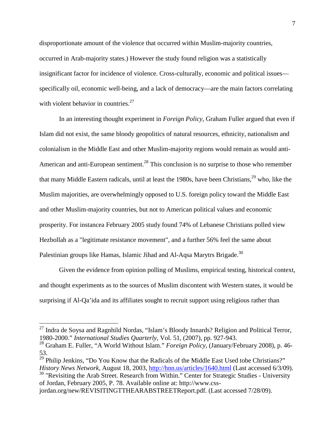disproportionate amount of the violence that occurred within Muslim-majority countries, occurred in Arab-majority states.) However the study found religion was a statistically insignificant factor for incidence of violence. Cross-culturally, economic and political issues specifically oil, economic well-being, and a lack of democracy—are the main factors correlating with violent behavior in countries. $27$ 

In an interesting thought experiment in *Foreign Policy*, Graham Fuller argued that even if Islam did not exist, the same bloody geopolitics of natural resources, ethnicity, nationalism and colonialism in the Middle East and other Muslim-majority regions would remain as would anti-American and anti-European sentiment.<sup>28</sup> This conclusion is no surprise to those who remember that many Middle Eastern radicals, until at least the 1980s, have been Christians,  $29$  who, like the Muslim majorities, are overwhelmingly opposed to U.S. foreign policy toward the Middle East and other Muslim-majority countries, but not to American political values and economic prosperity. For instancea February 2005 study found 74% of Lebanese Christians polled view Hezbollah as a "legitimate resistance movement", and a further 56% feel the same about Palestinian groups like Hamas, Islamic Jihad and Al-Aqsa Marytrs Brigade.<sup>30</sup>

Given the evidence from opinion polling of Muslims, empirical testing, historical context, and thought experiments as to the sources of Muslim discontent with Western states, it would be surprising if Al-Qa'ida and its affiliates sought to recruit support using religious rather than

<sup>29</sup> Philip Jenkins, "Do You Know that the Radicals of the Middle East Used tobe Christians?" *History News Network*, August 18, 2003, http://hnn.us/articles/1640.html (Last accessed 6/3/09).  $30$  "Revisiting the Arab Street. Research from Within." Center for Strategic Studies - University of Jordan, February 2005, P. 78. Available online at: http://www.css-

 $27$  Indra de Soysa and Ragnhild Nordas, "Islam's Bloody Innards? Religion and Political Terror, 1980-2000." *International Studies Quarterly*, Vol. 51, (2007), pp. 927-943.

<sup>28</sup> Graham E. Fuller, "A World Without Islam." *Foreign Policy*, (January/February 2008), p. 46- 53.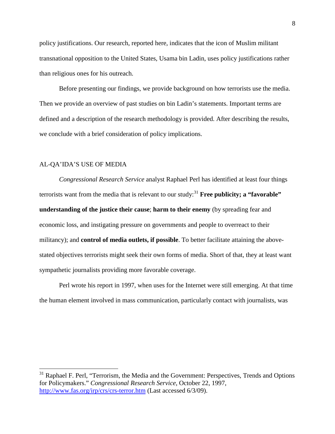policy justifications. Our research, reported here, indicates that the icon of Muslim militant transnational opposition to the United States, Usama bin Ladin, uses policy justifications rather than religious ones for his outreach.

Before presenting our findings, we provide background on how terrorists use the media. Then we provide an overview of past studies on bin Ladin's statements. Important terms are defined and a description of the research methodology is provided. After describing the results, we conclude with a brief consideration of policy implications.

### AL-QA'IDA'S USE OF MEDIA

*Congressional Research Service* analyst Raphael Perl has identified at least four things terrorists want from the media that is relevant to our study:<sup>31</sup> **Free publicity; a "favorable" understanding of the justice their cause**; **harm to their enemy** (by spreading fear and economic loss, and instigating pressure on governments and people to overreact to their militancy); and **control of media outlets, if possible**. To better facilitate attaining the abovestated objectives terrorists might seek their own forms of media. Short of that, they at least want sympathetic journalists providing more favorable coverage.

Perl wrote his report in 1997, when uses for the Internet were still emerging. At that time the human element involved in mass communication, particularly contact with journalists, was

<sup>&</sup>lt;sup>31</sup> Raphael F. Perl, "Terrorism, the Media and the Government: Perspectives, Trends and Options for Policymakers." *Congressional Research Service*, October 22, 1997, http://www.fas.org/irp/crs/crs-terror.htm (Last accessed 6/3/09).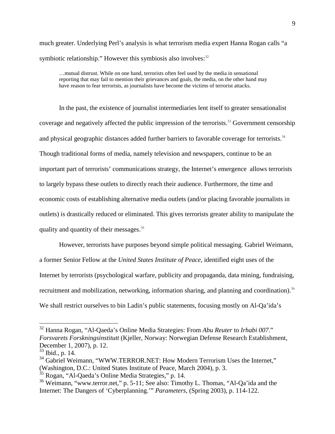much greater. Underlying Perl's analysis is what terrorism media expert Hanna Rogan calls "a symbiotic relationship." However this symbiosis also involves: $32$ 

…mutual distrust. While on one hand, terrorists often feel used by the media in sensational reporting that may fail to mention their grievances and goals, the media, on the other hand may have reason to fear terrorists, as journalists have become the victims of terrorist attacks.

In the past, the existence of journalist intermediaries lent itself to greater sensationalist coverage and negatively affected the public impression of the terrorists.<sup>33</sup> Government censorship and physical geographic distances added further barriers to favorable coverage for terrorists.<sup>34</sup> Though traditional forms of media, namely television and newspapers, continue to be an important part of terrorists' communications strategy, the Internet's emergence allows terrorists to largely bypass these outlets to directly reach their audience. Furthermore, the time and economic costs of establishing alternative media outlets (and/or placing favorable journalists in outlets) is drastically reduced or eliminated. This gives terrorists greater ability to manipulate the quality and quantity of their messages.<sup>35</sup>

However, terrorists have purposes beyond simple political messaging. Gabriel Weimann, a former Senior Fellow at the *United States Institute of Peace*, identified eight uses of the Internet by terrorists (psychological warfare, publicity and propaganda, data mining, fundraising, recruitment and mobilization, networking, information sharing, and planning and coordination).<sup>36</sup> We shall restrict ourselves to bin Ladin's public statements, focusing mostly on Al-Qa'ida's

<sup>32</sup> Hanna Rogan, "Al-Qaeda's Online Media Strategies: From *Abu Reuter* to *Irhabi 007*." *Forsvarets Forskningsinstitutt* (Kjeller, Norway: Norwegian Defense Research Establishment, December 1, 2007), p. 12.

 $33$  Ibid., p. 14.

<sup>&</sup>lt;sup>34</sup> Gabriel Weimann, "WWW.TERROR.NET: How Modern Terrorism Uses the Internet," (Washington, D.C.: United States Institute of Peace, March 2004), p. 3.

<sup>&</sup>lt;sup>35</sup> Rogan, "Al-Qaeda's Online Media Strategies," p. 14.

<sup>&</sup>lt;sup>36</sup> Weimann, "www.terror.net," p. 5-11; See also: Timothy L. Thomas, "Al-Qa'ida and the Internet: The Dangers of 'Cyberplanning.'" *Parameters*, (Spring 2003), p. 114-122.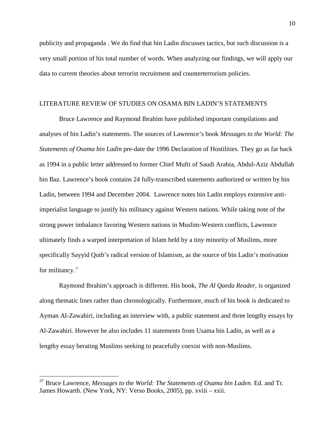publicity and propaganda . We do find that bin Ladin discusses tactics, but such discussion is a very small portion of his total number of words. When analyzing our findings, we will apply our data to current theories about terrorist recruitment and counterterrorism policies.

## LITERATURE REVIEW OF STUDIES ON OSAMA BIN LADIN'S STATEMENTS

Bruce Lawrence and Raymond Ibrahim have published important compilations and analyses of bin Ladin's statements. The sources of Lawrence's book *Messages to the World: The Statements of Osama bin Ladin* pre-date the 1996 Declaration of Hostilities. They go as far back as 1994 in a public letter addressed to former Chief Mufti of Saudi Arabia, Abdul-Aziz Abdullah bin Baz. Lawrence's book contains 24 fully-transcribed statements authorized or written by bin Ladin, between 1994 and December 2004. Lawrence notes bin Ladin employs extensive antiimperialist language to justify his militancy against Western nations. While taking note of the strong power imbalance favoring Western nations in Muslim-Western conflicts, Lawrence ultimately finds a warped interpretation of Islam held by a tiny minority of Muslims, more specifically Sayyid Qutb's radical version of Islamism, as the source of bin Ladin's motivation for militancy. $37$ 

Raymond Ibrahim's approach is different. His book, *The Al Qaeda Reader*, is organized along thematic lines rather than chronologically. Furthermore, much of his book is dedicated to Ayman Al-Zawahiri, including an interview with, a public statement and three lengthy essays by Al-Zawahiri. However he also includes 11 statements from Usama bin Ladin, as well as a lengthy essay berating Muslims seeking to peacefully coexist with non-Muslims.

<sup>37</sup> Bruce Lawrence, *Messages to the World: The Statements of Osama bin Laden*. Ed. and Tr. James Howarth. (New York, NY: Verso Books, 2005), pp. xviii – xxii.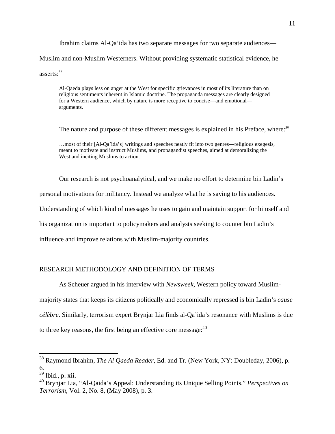Ibrahim claims Al-Qa'ida has two separate messages for two separate audiences— Muslim and non-Muslim Westerners. Without providing systematic statistical evidence, he asserts:<sup>38</sup>

Al-Qaeda plays less on anger at the West for specific grievances in most of its literature than on religious sentiments inherent in Islamic doctrine. The propaganda messages are clearly designed for a Western audience, which by nature is more receptive to concise—and emotional arguments.

The nature and purpose of these different messages is explained in his Preface, where:<sup>39</sup>

…most of their [Al-Qa'ida's] writings and speeches neatly fit into two genres—religious exegesis, meant to motivate and instruct Muslims, and propagandist speeches, aimed at demoralizing the West and inciting Muslims to action.

Our research is not psychoanalytical, and we make no effort to determine bin Ladin's personal motivations for militancy. Instead we analyze what he is saying to his audiences. Understanding of which kind of messages he uses to gain and maintain support for himself and his organization is important to policymakers and analysts seeking to counter bin Ladin's influence and improve relations with Muslim-majority countries.

## RESEARCH METHODOLOGY AND DEFINITION OF TERMS

As Scheuer argued in his interview with *Newsweek*, Western policy toward Muslimmajority states that keeps its citizens politically and economically repressed is bin Ladin's *cause célèbre*. Similarly, terrorism expert Brynjar Lia finds al-Qa'ida's resonance with Muslims is due to three key reasons, the first being an effective core message:  $40$ 

<sup>38</sup> Raymond Ibrahim, *The Al Qaeda Reader*, Ed. and Tr. (New York, NY: Doubleday, 2006), p. 6.

 $\frac{39}{39}$  Ibid., p. xii.

<sup>40</sup> Brynjar Lia, "Al-Qaida's Appeal: Understanding its Unique Selling Points." *Perspectives on Terrorism*, Vol. 2, No. 8, (May 2008), p. 3.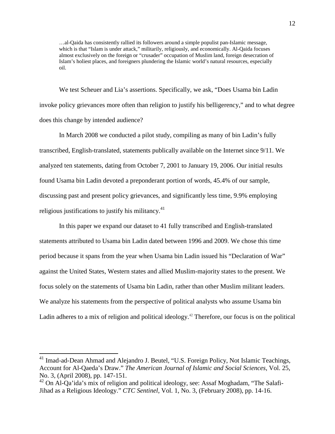…al-Qaida has consistently rallied its followers around a simple populist pan-Islamic message, which is that "Islam is under attack," militarily, religiously, and economically. Al-Qaida focuses almost exclusively on the foreign or "crusader" occupation of Muslim land, foreign desecration of Islam's holiest places, and foreigners plundering the Islamic world's natural resources, especially oil.

We test Scheuer and Lia's assertions. Specifically, we ask, "Does Usama bin Ladin invoke policy grievances more often than religion to justify his belligerency," and to what degree does this change by intended audience?

In March 2008 we conducted a pilot study, compiling as many of bin Ladin's fully transcribed, English-translated, statements publically available on the Internet since 9/11. We analyzed ten statements, dating from October 7, 2001 to January 19, 2006. Our initial results found Usama bin Ladin devoted a preponderant portion of words, 45.4% of our sample, discussing past and present policy grievances, and significantly less time, 9.9% employing religious justifications to justify his militancy. $41$ 

In this paper we expand our dataset to 41 fully transcribed and English-translated statements attributed to Usama bin Ladin dated between 1996 and 2009. We chose this time period because it spans from the year when Usama bin Ladin issued his "Declaration of War" against the United States, Western states and allied Muslim-majority states to the present. We focus solely on the statements of Usama bin Ladin, rather than other Muslim militant leaders. We analyze his statements from the perspective of political analysts who assume Usama bin Ladin adheres to a mix of religion and political ideology.<sup>42</sup> Therefore, our focus is on the political

<sup>&</sup>lt;sup>41</sup> Imad-ad-Dean Ahmad and Alejandro J. Beutel, "U.S. Foreign Policy, Not Islamic Teachings, Account for Al-Qaeda's Draw." *The American Journal of Islamic and Social Sciences*, Vol. 25, No. 3, (April 2008), pp. 147-151.

<sup>&</sup>lt;sup>42</sup> On Al-Qa'ida's mix of religion and political ideology, see: Assaf Moghadam, "The Salafi-Jihad as a Religious Ideology." *CTC Sentinel*, Vol. 1, No. 3, (February 2008), pp. 14-16.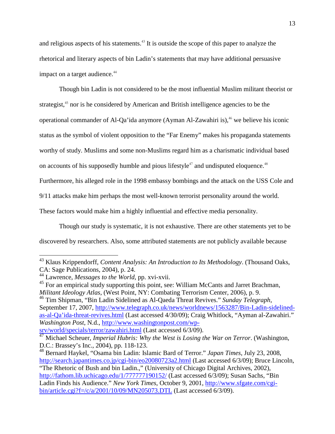and religious aspects of his statements.<sup>43</sup> It is outside the scope of this paper to analyze the rhetorical and literary aspects of bin Ladin's statements that may have additional persuasive impact on a target audience.<sup>44</sup>

Though bin Ladin is not considered to be the most influential Muslim militant theorist or strategist,<sup>45</sup> nor is he considered by American and British intelligence agencies to be the operational commander of Al-Qa'ida anymore (Ayman Al-Zawahiri is),<sup> $46$ </sup> we believe his iconic status as the symbol of violent opposition to the "Far Enemy" makes his propaganda statements worthy of study. Muslims and some non-Muslims regard him as a charismatic individual based on accounts of his supposedly humble and pious lifestyle<sup> $47$ </sup> and undisputed eloquence.<sup> $48$ </sup> Furthermore, his alleged role in the 1998 embassy bombings and the attack on the USS Cole and 9/11 attacks make him perhaps the most well-known terrorist personality around the world. These factors would make him a highly influential and effective media personality.

Though our study is systematic, it is not exhaustive. There are other statements yet to be discovered by researchers. Also, some attributed statements are not publicly available because

<sup>46</sup> Tim Shipman, "Bin Ladin Sidelined as Al-Qaeda Threat Revives." *Sunday Telegraph*, September 17, 2007, http://www.telegraph.co.uk/news/worldnews/1563287/Bin-Ladin-sidelinedas-al-Qa'ida-threat-revives.html (Last accessed 4/30/09); Craig Whitlock, "Ayman al-Zawahiri." *Washington Post*, N.d., http://www.washingtonpost.com/wp-

<sup>43</sup> Klaus Krippendorff, *Content Analysis: An Introduction to Its Methodology*. (Thousand Oaks, CA: Sage Publications, 2004), p. 24.

<sup>44</sup> Lawrence, *Messages to the World*, pp. xvi-xvii.

 $45$  For an empirical study supporting this point, see: William McCants and Jarret Brachman, *Militant Ideology Atlas*, (West Point, NY: Combating Terrorism Center, 2006), p. 9.

srv/world/specials/terror/zawahiri.html (Last accessed 6/3/09).

<sup>47</sup> Michael Scheuer, *Imperial Hubris: Why the West is Losing the War on Terror*. (Washington, D.C.: Brassey's Inc., 2004), pp. 118-123.

<sup>48</sup> Bernard Haykel, "Osama bin Ladin: Islamic Bard of Terror." *Japan Times*, July 23, 2008, http://search.japantimes.co.jp/cgi-bin/eo20080723a2.html (Last accessed 6/3/09); Bruce Lincoln, "The Rhetoric of Bush and bin Ladin.," (University of Chicago Digital Archives, 2002),

http://fathom.lib.uchicago.edu/1/777777190152/ (Last accessed 6/3/09); Susan Sachs, "Bin Ladin Finds his Audience." *New York Times*, October 9, 2001, http://www.sfgate.com/cgibin/article.cgi?f=/c/a/2001/10/09/MN205073.DTL (Last accessed 6/3/09).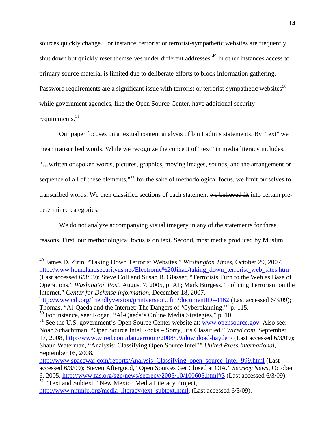sources quickly change. For instance, terrorist or terrorist-sympathetic websites are frequently shut down but quickly reset themselves under different addresses.<sup>49</sup> In other instances access to primary source material is limited due to deliberate efforts to block information gathering. Password requirements are a significant issue with terrorist or terrorist-sympathetic websites $^{50}$ while government agencies, like the Open Source Center, have additional security requirements. $51$ 

Our paper focuses on a textual content analysis of bin Ladin's statements. By "text" we mean transcribed words. While we recognize the concept of "text" in media literacy includes, "…written or spoken words, pictures, graphics, moving images, sounds, and the arrangement or sequence of all of these elements,"<sup>52</sup> for the sake of methodological focus, we limit ourselves to transcribed words. We then classified sections of each statement we believed fit into certain predetermined categories.

We do not analyze accompanying visual imagery in any of the statements for three reasons. First, our methodological focus is on text. Second, most media produced by Muslim

<sup>49</sup> James D. Zirin, "Taking Down Terrorist Websites." *Washington Times*, October 29, 2007, http://www.homelandsecurityus.net/Electronic%20Jihad/taking\_down\_terrorist\_web\_sites.htm (Last accessed 6/3/09); Steve Coll and Susan B. Glasser, "Terrorists Turn to the Web as Base of Operations." *Washington Post*, August 7, 2005, p. A1; Mark Burgess, "Policing Terrorism on the Internet." *Center for Defense Information*, December 18, 2007, http://www.cdi.org/friendlyversion/printversion.cfm?documentID=4162 (Last accessed 6/3/09); Thomas, "Al-Qaeda and the Internet: The Dangers of 'Cyberplanning.'" p. 115.

<sup>50</sup> For instance, see: Rogan, "Al-Qaeda's Online Media Strategies," p. 10.

<sup>&</sup>lt;sup>51</sup> See the U.S. government's Open Source Center website at: **www.opensource.gov**. Also see: Noah Schachtman, "Open Source Intel Rocks – Sorry, It's Classified." *Wired.com*, September 17, 2008, http://www.wired.com/dangerroom/2008/09/download-hayden/ (Last accessed 6/3/09); Shaun Waterman, "Analysis: Classifying Open Source Intel?" *United Press International*, September 16, 2008,

http://www.spacewar.com/reports/Analysis\_Classifying\_open\_source\_intel\_999.html (Last accessed 6/3/09); Steven Aftergood, "Open Sources Get Closed at CIA." *Secrecy News*, October 6, 2005, http://www.fas.org/sgp/news/secrecy/2005/10/100605.html#3 (Last accessed 6/3/09). <sup>52</sup> "Text and Subtext." New Mexico Media Literacy Project,

http://www.nmmlp.org/media\_literacy/text\_subtext.html, (Last accessed 6/3/09).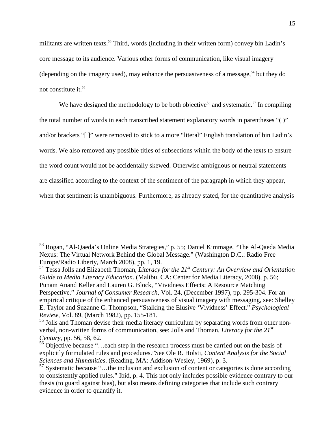militants are written texts.<sup>53</sup> Third, words (including in their written form) convey bin Ladin's core message to its audience. Various other forms of communication, like visual imagery (depending on the imagery used), may enhance the persuasiveness of a message.<sup>54</sup> but they do not constitute it.<sup>55</sup>

We have designed the methodology to be both objective<sup>56</sup> and systematic.<sup>57</sup> In compiling the total number of words in each transcribed statement explanatory words in parentheses "( )" and/or brackets "[ ]" were removed to stick to a more "literal" English translation of bin Ladin's words. We also removed any possible titles of subsections within the body of the texts to ensure the word count would not be accidentally skewed. Otherwise ambiguous or neutral statements are classified according to the context of the sentiment of the paragraph in which they appear, when that sentiment is unambiguous. Furthermore, as already stated, for the quantitative analysis

<sup>53</sup> Rogan, "Al-Qaeda's Online Media Strategies," p. 55; Daniel Kimmage, "The Al-Qaeda Media Nexus: The Virtual Network Behind the Global Message." (Washington D.C.: Radio Free Europe/Radio Liberty, March 2008), pp. 1, 19.

<sup>54</sup> Tessa Jolls and Elizabeth Thoman, *Literacy for the 21st Century: An Overview and Orientation Guide to Media Literacy Education.* (Malibu, CA: Center for Media Literacy, 2008), p. 56; Punam Anand Keller and Lauren G. Block, "Vividness Effects: A Resource Matching Perspective." *Journal of Consumer Research*, Vol. 24, (December 1997), pp. 295-304. For an empirical critique of the enhanced persuasiveness of visual imagery with messaging, see: Shelley E. Taylor and Suzanne C. Thompson, "Stalking the Elusive 'Vividness' Effect." *Psychological Review*, Vol. 89, (March 1982), pp. 155-181.

<sup>&</sup>lt;sup>55</sup> Jolls and Thoman devise their media literacy curriculum by separating words from other nonverbal, non-written forms of communication, see: Jolls and Thoman, *Literacy for the 21st Century*, pp. 56, 58, 62.

<sup>&</sup>lt;sup>56</sup> Objective because "...each step in the research process must be carried out on the basis of explicitly formulated rules and procedures."See Ole R. Holsti, *Content Analysis for the Social Sciences and Humanities*. (Reading, MA: Addison-Wesley, 1969), p. 3.

<sup>&</sup>lt;sup>57</sup> Systematic because "...the inclusion and exclusion of content or categories is done according to consistently applied rules." Ibid, p. 4. This not only includes possible evidence contrary to our thesis (to guard against bias), but also means defining categories that include such contrary evidence in order to quantify it.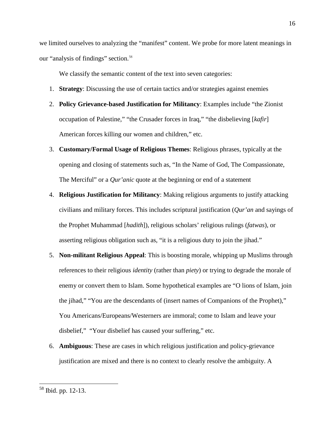we limited ourselves to analyzing the "manifest" content. We probe for more latent meanings in our "analysis of findings" section.<sup>58</sup>

We classify the semantic content of the text into seven categories:

- 1. **Strategy**: Discussing the use of certain tactics and/or strategies against enemies
- 2. **Policy Grievance-based Justification for Militancy**: Examples include "the Zionist occupation of Palestine," "the Crusader forces in Iraq," "the disbelieving [*kafir*] American forces killing our women and children," etc.
- 3. **Customary/Formal Usage of Religious Themes**: Religious phrases, typically at the opening and closing of statements such as, "In the Name of God, The Compassionate, The Merciful" or a *Qur'anic* quote at the beginning or end of a statement
- 4. **Religious Justification for Militancy**: Making religious arguments to justify attacking civilians and military forces. This includes scriptural justification (*Qur'an* and sayings of the Prophet Muhammad [*hadith*]), religious scholars' religious rulings (*fatwas*), or asserting religious obligation such as, "it is a religious duty to join the jihad."
- 5. **Non-militant Religious Appeal**: This is boosting morale, whipping up Muslims through references to their religious *identity* (rather than *piety*) or trying to degrade the morale of enemy or convert them to Islam. Some hypothetical examples are "O lions of Islam, join the jihad," "You are the descendants of (insert names of Companions of the Prophet)," You Americans/Europeans/Westerners are immoral; come to Islam and leave your disbelief," "Your disbelief has caused your suffering," etc.
- 6. **Ambiguous**: These are cases in which religious justification and policy-grievance justification are mixed and there is no context to clearly resolve the ambiguity. A

<sup>58</sup> Ibid. pp. 12-13.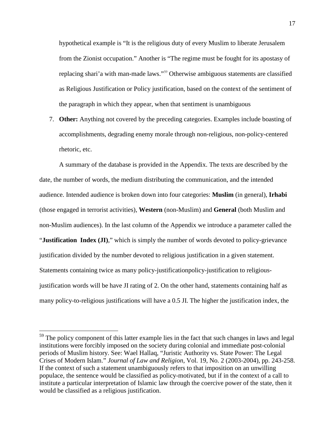hypothetical example is "It is the religious duty of every Muslim to liberate Jerusalem from the Zionist occupation." Another is "The regime must be fought for its apostasy of replacing shari'a with man-made laws."<sup>59</sup> Otherwise ambiguous statements are classified as Religious Justification or Policy justification, based on the context of the sentiment of the paragraph in which they appear, when that sentiment is unambiguous

7. **Other:** Anything not covered by the preceding categories. Examples include boasting of accomplishments, degrading enemy morale through non-religious, non-policy-centered rhetoric, etc.

A summary of the database is provided in the Appendix. The texts are described by the date, the number of words, the medium distributing the communication, and the intended audience. Intended audience is broken down into four categories: **Muslim** (in general), **Irhabi** (those engaged in terrorist activities), **Western** (non-Muslim) and **General** (both Muslim and non-Muslim audiences). In the last column of the Appendix we introduce a parameter called the "**Justification Index (JI)**," which is simply the number of words devoted to policy-grievance justification divided by the number devoted to religious justification in a given statement. Statements containing twice as many policy-justificationpolicy-justification to religiousjustification words will be have JI rating of 2. On the other hand, statements containing half as many policy-to-religious justifications will have a 0.5 JI. The higher the justification index, the

<sup>&</sup>lt;sup>59</sup> The policy component of this latter example lies in the fact that such changes in laws and legal institutions were forcibly imposed on the society during colonial and immediate post-colonial periods of Muslim history. See: Wael Hallaq, "Juristic Authority vs. State Power: The Legal Crises of Modern Islam." *Journal of Law and Religion*, Vol. 19, No. 2 (2003-2004), pp. 243-258. If the context of such a statement unambiguously refers to that imposition on an unwilling populace, the sentence would be classified as policy-motivated, but if in the context of a call to institute a particular interpretation of Islamic law through the coercive power of the state, then it would be classified as a religious justification.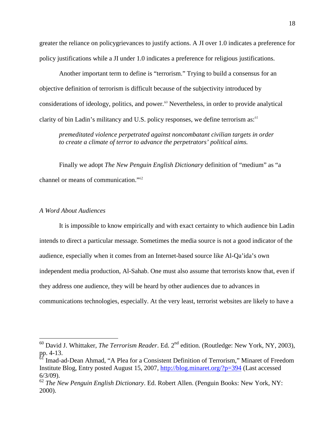greater the reliance on policygrievances to justify actions. A JI over 1.0 indicates a preference for policy justifications while a JI under 1.0 indicates a preference for religious justifications.

Another important term to define is "terrorism." Trying to build a consensus for an objective definition of terrorism is difficult because of the subjectivity introduced by considerations of ideology, politics, and power.<sup>60</sup> Nevertheless, in order to provide analytical clarity of bin Ladin's militancy and U.S. policy responses, we define terrorism as: $61$ 

*premeditated violence perpetrated against noncombatant civilian targets in order to create a climate of terror to advance the perpetrators' political aims.*

Finally we adopt *The New Penguin English Dictionary* definition of "medium" as "a channel or means of communication."<sup>62</sup>

#### *A Word About Audiences*

It is impossible to know empirically and with exact certainty to which audience bin Ladin intends to direct a particular message. Sometimes the media source is not a good indicator of the audience, especially when it comes from an Internet-based source like Al-Qa'ida's own independent media production, Al-Sahab. One must also assume that terrorists know that, even if they address one audience, they will be heard by other audiences due to advances in communications technologies, especially. At the very least, terrorist websites are likely to have a

<sup>&</sup>lt;sup>60</sup> David J. Whittaker, *The Terrorism Reader*. Ed. 2<sup>nd</sup> edition. (Routledge: New York, NY, 2003), pp. 4-13.

<sup>&</sup>lt;sup>61</sup> Imad-ad-Dean Ahmad, "A Plea for a Consistent Definition of Terrorism," Minaret of Freedom Institute Blog, Entry posted August 15, 2007, http://blog.minaret.org/?p=394 (Last accessed 6/3/09).

<sup>62</sup> *The New Penguin English Dictionary*. Ed. Robert Allen. (Penguin Books: New York, NY: 2000).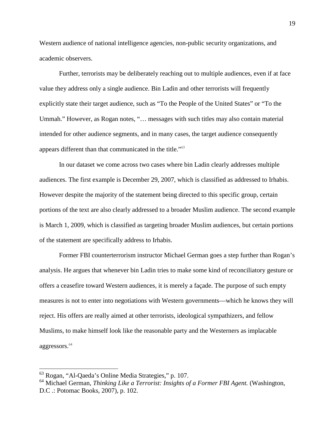Western audience of national intelligence agencies, non-public security organizations, and academic observers.

Further, terrorists may be deliberately reaching out to multiple audiences, even if at face value they address only a single audience. Bin Ladin and other terrorists will frequently explicitly state their target audience, such as "To the People of the United States" or "To the Ummah." However, as Rogan notes, "… messages with such titles may also contain material intended for other audience segments, and in many cases, the target audience consequently appears different than that communicated in the title."<sup>63</sup>

In our dataset we come across two cases where bin Ladin clearly addresses multiple audiences. The first example is December 29, 2007, which is classified as addressed to Irhabis. However despite the majority of the statement being directed to this specific group, certain portions of the text are also clearly addressed to a broader Muslim audience. The second example is March 1, 2009, which is classified as targeting broader Muslim audiences, but certain portions of the statement are specifically address to Irhabis.

Former FBI counterterrorism instructor Michael German goes a step further than Rogan's analysis. He argues that whenever bin Ladin tries to make some kind of reconciliatory gesture or offers a ceasefire toward Western audiences, it is merely a façade. The purpose of such empty measures is not to enter into negotiations with Western governments—which he knows they will reject. His offers are really aimed at other terrorists, ideological sympathizers, and fellow Muslims, to make himself look like the reasonable party and the Westerners as implacable aggressors.<sup>64</sup>

<sup>63</sup> Rogan, "Al-Qaeda's Online Media Strategies," p. 107.

<sup>64</sup> Michael German, *Thinking Like a Terrorist: Insights of a Former FBI Agent.* (Washington, D.C .: Potomac Books, 2007), p. 102.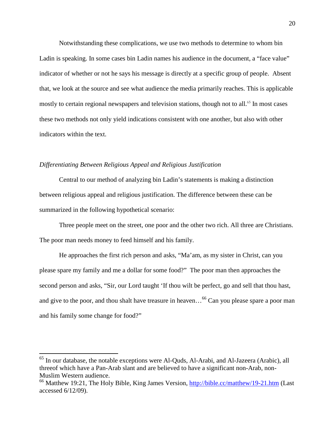Notwithstanding these complications, we use two methods to determine to whom bin Ladin is speaking. In some cases bin Ladin names his audience in the document, a "face value" indicator of whether or not he says his message is directly at a specific group of people. Absent that, we look at the source and see what audience the media primarily reaches. This is applicable mostly to certain regional newspapers and television stations, though not to all.<sup>65</sup> In most cases these two methods not only yield indications consistent with one another, but also with other indicators within the text.

#### *Differentiating Between Religious Appeal and Religious Justification*

Central to our method of analyzing bin Ladin's statements is making a distinction between religious appeal and religious justification. The difference between these can be summarized in the following hypothetical scenario:

Three people meet on the street, one poor and the other two rich. All three are Christians. The poor man needs money to feed himself and his family.

He approaches the first rich person and asks, "Ma'am, as my sister in Christ, can you please spare my family and me a dollar for some food?" The poor man then approaches the second person and asks, "Sir, our Lord taught 'If thou wilt be perfect, go and sell that thou hast, and give to the poor, and thou shalt have treasure in heaven...<sup>66</sup> Can you please spare a poor man and his family some change for food?"

<sup>&</sup>lt;sup>65</sup> In our database, the notable exceptions were Al-Quds, Al-Arabi, and Al-Jazeera (Arabic), all threeof which have a Pan-Arab slant and are believed to have a significant non-Arab, non-Muslim Western audience.

<sup>&</sup>lt;sup>66</sup> Matthew 19:21, The Holy Bible, King James Version, http://bible.cc/matthew/19-21.htm (Last accessed 6/12/09).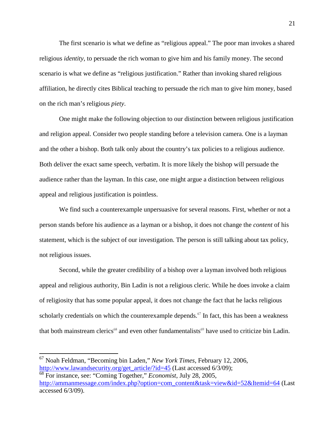The first scenario is what we define as "religious appeal." The poor man invokes a shared religious *identity*, to persuade the rich woman to give him and his family money. The second scenario is what we define as "religious justification." Rather than invoking shared religious affiliation, he directly cites Biblical teaching to persuade the rich man to give him money, based on the rich man's religious *piety*.

One might make the following objection to our distinction between religious justification and religion appeal. Consider two people standing before a television camera. One is a layman and the other a bishop. Both talk only about the country's tax policies to a religious audience. Both deliver the exact same speech, verbatim. It is more likely the bishop will persuade the audience rather than the layman. In this case, one might argue a distinction between religious appeal and religious justification is pointless.

We find such a counterexample unpersuasive for several reasons. First, whether or not a person stands before his audience as a layman or a bishop, it does not change the *content* of his statement, which is the subject of our investigation. The person is still talking about tax policy, not religious issues.

Second, while the greater credibility of a bishop over a layman involved both religious appeal and religious authority, Bin Ladin is not a religious cleric. While he does invoke a claim of religiosity that has some popular appeal, it does not change the fact that he lacks religious scholarly credentials on which the counterexample depends.<sup> $67$ </sup> In fact, this has been a weakness that both mainstream clerics<sup>68</sup> and even other fundamentalists<sup>69</sup> have used to criticize bin Ladin.

<sup>67</sup> Noah Feldman, "Becoming bin Laden," *New York Times*, February 12, 2006, http://www.lawandsecurity.org/get\_article/?id=45 (Last accessed 6/3/09);

<sup>68</sup> For instance, see: "Coming Together," *Economist*, July 28, 2005, http://ammanmessage.com/index.php?option=com\_content&task=view&id=52&Itemid=64 (Last accessed 6/3/09).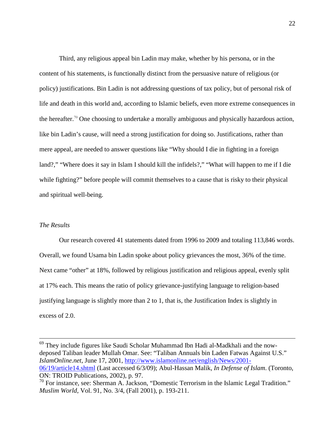Third, any religious appeal bin Ladin may make, whether by his persona, or in the content of his statements, is functionally distinct from the persuasive nature of religious (or policy) justifications. Bin Ladin is not addressing questions of tax policy, but of personal risk of life and death in this world and, according to Islamic beliefs, even more extreme consequences in the hereafter.<sup>70</sup> One choosing to undertake a morally ambiguous and physically hazardous action, like bin Ladin's cause, will need a strong justification for doing so. Justifications, rather than mere appeal, are needed to answer questions like "Why should I die in fighting in a foreign land?," "Where does it say in Islam I should kill the infidels?," "What will happen to me if I die while fighting?" before people will commit themselves to a cause that is risky to their physical and spiritual well-being.

#### *The Results*

Our research covered 41 statements dated from 1996 to 2009 and totaling 113,846 words. Overall, we found Usama bin Ladin spoke about policy grievances the most, 36% of the time. Next came "other" at 18%, followed by religious justification and religious appeal, evenly split at 17% each. This means the ratio of policy grievance-justifying language to religion-based justifying language is slightly more than 2 to 1, that is, the Justification Index is slightly in excess of 2.0.

<sup>69</sup> They include figures like Saudi Scholar Muhammad Ibn Hadi al-Madkhali and the nowdeposed Taliban leader Mullah Omar. See: "Taliban Annuals bin Laden Fatwas Against U.S." *IslamOnline.net*, June 17, 2001, http://www.islamonline.net/english/News/2001- 06/19/article14.shtml (Last accessed 6/3/09); Abul-Hassan Malik, *In Defense of Islam*. (Toronto, ON: TROID Publications, 2002), p. 97.

<sup>70</sup> For instance, see: Sherman A. Jackson, "Domestic Terrorism in the Islamic Legal Tradition." *Muslim World*, Vol. 91, No. 3/4, (Fall 2001), p. 193-211.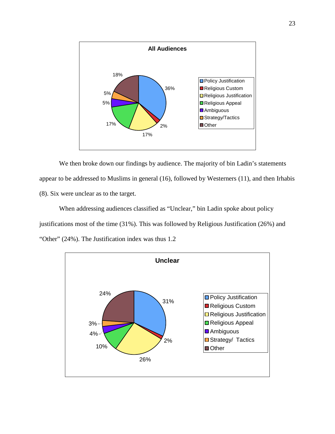

We then broke down our findings by audience. The majority of bin Ladin's statements appear to be addressed to Muslims in general (16), followed by Westerners (11), and then Irhabis (8). Six were unclear as to the target.

When addressing audiences classified as "Unclear," bin Ladin spoke about policy justifications most of the time (31%). This was followed by Religious Justification (26%) and "Other" (24%). The Justification index was thus 1.2

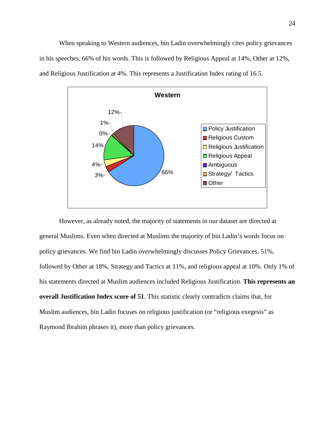When speaking to Western audiences, bin Ladin overwhelmingly cites policy grievances in his speeches, 66% of his words. This is followed by Religious Appeal at 14%, Other at 12%, and Religious Justification at 4%. This represents a Justification Index rating of 16.5.



However, as already noted, the majority of statements in our dataset are directed at general Muslims. Even when directed at Muslims the majority of bin Ladin's words focus on policy grievances. We find bin Ladin overwhelmingly discusses Policy Grievances, 51%, followed by Other at 18%, Strategy and Tactics at 11%, and religious appeal at 10%. Only 1% of his statements directed at Muslim audiences included Religious Justification. **This represents an overall Justification Index score of 51**. This statistic clearly contradicts claims that, for Muslim audiences, bin Ladin focuses on religious justification (or "religious exegesis" as Raymond Ibrahim phrases it), more than policy grievances.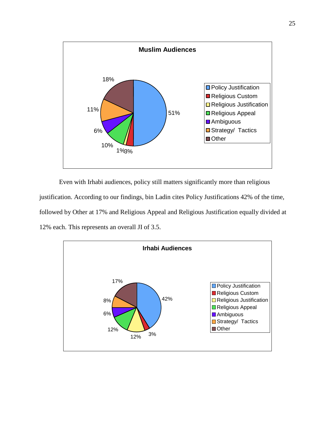

Even with Irhabi audiences, policy still matters significantly more than religious justification. According to our findings, bin Ladin cites Policy Justifications 42% of the time, followed by Other at 17% and Religious Appeal and Religious Justification equally divided at 12% each. This represents an overall JI of 3.5.

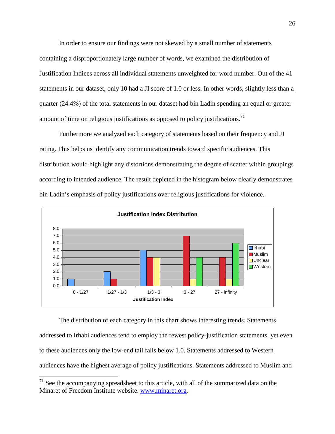In order to ensure our findings were not skewed by a small number of statements containing a disproportionately large number of words, we examined the distribution of Justification Indices across all individual statements unweighted for word number. Out of the 41 statements in our dataset, only 10 had a JI score of 1.0 or less. In other words, slightly less than a quarter (24.4%) of the total statements in our dataset had bin Ladin spending an equal or greater amount of time on religious justifications as opposed to policy justifications.<sup>71</sup>

Furthermore we analyzed each category of statements based on their frequency and JI rating. This helps us identify any communication trends toward specific audiences. This distribution would highlight any distortions demonstrating the degree of scatter within groupings according to intended audience. The result depicted in the histogram below clearly demonstrates bin Ladin's emphasis of policy justifications over religious justifications for violence.



The distribution of each category in this chart shows interesting trends. Statements addressed to Irhabi audiences tend to employ the fewest policy-justification statements, yet even to these audiences only the low-end tail falls below 1.0. Statements addressed to Western audiences have the highest average of policy justifications. Statements addressed to Muslim and

 $71$  See the accompanying spreadsheet to this article, with all of the summarized data on the Minaret of Freedom Institute website. www.minaret.org.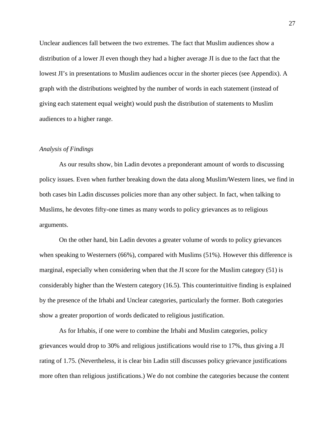Unclear audiences fall between the two extremes. The fact that Muslim audiences show a distribution of a lower JI even though they had a higher average JI is due to the fact that the lowest JI's in presentations to Muslim audiences occur in the shorter pieces (see Appendix). A graph with the distributions weighted by the number of words in each statement (instead of giving each statement equal weight) would push the distribution of statements to Muslim audiences to a higher range.

#### *Analysis of Findings*

As our results show, bin Ladin devotes a preponderant amount of words to discussing policy issues. Even when further breaking down the data along Muslim/Western lines, we find in both cases bin Ladin discusses policies more than any other subject. In fact, when talking to Muslims, he devotes fifty-one times as many words to policy grievances as to religious arguments.

On the other hand, bin Ladin devotes a greater volume of words to policy grievances when speaking to Westerners (66%), compared with Muslims (51%). However this difference is marginal, especially when considering when that the JI score for the Muslim category (51) is considerably higher than the Western category (16.5). This counterintuitive finding is explained by the presence of the Irhabi and Unclear categories, particularly the former. Both categories show a greater proportion of words dedicated to religious justification.

As for Irhabis, if one were to combine the Irhabi and Muslim categories, policy grievances would drop to 30% and religious justifications would rise to 17%, thus giving a JI rating of 1.75. (Nevertheless, it is clear bin Ladin still discusses policy grievance justifications more often than religious justifications.) We do not combine the categories because the content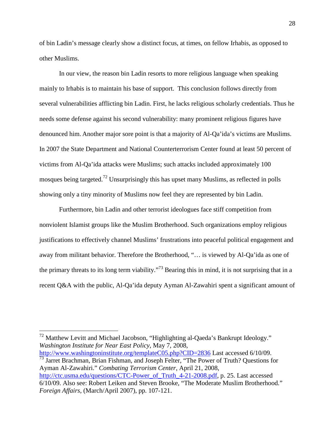of bin Ladin's message clearly show a distinct focus, at times, on fellow Irhabis, as opposed to other Muslims.

In our view, the reason bin Ladin resorts to more religious language when speaking mainly to Irhabis is to maintain his base of support. This conclusion follows directly from several vulnerabilities afflicting bin Ladin. First, he lacks religious scholarly credentials. Thus he needs some defense against his second vulnerability: many prominent religious figures have denounced him. Another major sore point is that a majority of Al-Qa'ida's victims are Muslims. In 2007 the State Department and National Counterterrorism Center found at least 50 percent of victims from Al-Qa'ida attacks were Muslims; such attacks included approximately 100 mosques being targeted.<sup>72</sup> Unsurprisingly this has upset many Muslims, as reflected in polls showing only a tiny minority of Muslims now feel they are represented by bin Ladin.

Furthermore, bin Ladin and other terrorist ideologues face stiff competition from nonviolent Islamist groups like the Muslim Brotherhood. Such organizations employ religious justifications to effectively channel Muslims' frustrations into peaceful political engagement and away from militant behavior. Therefore the Brotherhood, "… is viewed by Al-Qa'ida as one of the primary threats to its long term viability."<sup>73</sup> Bearing this in mind, it is not surprising that in a recent Q&A with the public, Al-Qa'ida deputy Ayman Al-Zawahiri spent a significant amount of

<sup>72</sup> Matthew Levitt and Michael Jacobson, "Highlighting al-Qaeda's Bankrupt Ideology." *Washington Institute for Near East Policy*, May 7, 2008,

http://www.washingtoninstitute.org/templateC05.php?CID=2836 Last accessed 6/10/09. <sup>73</sup> Jarret Brachman, Brian Fishman, and Joseph Felter, "The Power of Truth? Questions for Ayman Al-Zawahiri." *Combating Terrorism Center*, April 21, 2008,

http://ctc.usma.edu/questions/CTC-Power\_of\_Truth\_4-21-2008.pdf, p. 25. Last accessed 6/10/09. Also see: Robert Leiken and Steven Brooke, "The Moderate Muslim Brotherhood." *Foreign Affairs*, (March/April 2007), pp. 107-121.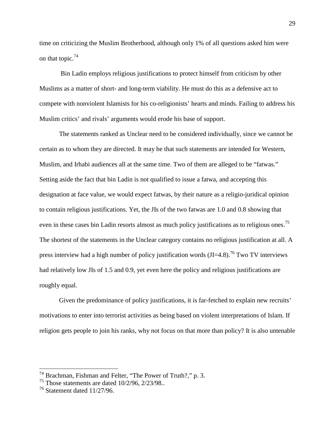time on criticizing the Muslim Brotherhood, although only 1% of all questions asked him were on that topic.<sup>74</sup>

Bin Ladin employs religious justifications to protect himself from criticism by other Muslims as a matter of short- and long-term viability. He must do this as a defensive act to compete with nonviolent Islamists for his co-religionists' hearts and minds. Failing to address his Muslim critics' and rivals' arguments would erode his base of support.

The statements ranked as Unclear need to be considered individually, since we cannot be certain as to whom they are directed. It may be that such statements are intended for Western, Muslim, and Irhabi audiences all at the same time. Two of them are alleged to be "fatwas." Setting aside the fact that bin Ladin is not qualified to issue a fatwa, and accepting this designation at face value, we would expect fatwas, by their nature as a religio-juridical opinion to contain religious justifications. Yet, the JIs of the two fatwas are 1.0 and 0.8 showing that even in these cases bin Ladin resorts almost as much policy justifications as to religious ones.<sup>75</sup> The shortest of the statements in the Unclear category contains no religious justification at all. A press interview had a high number of policy justification words  $(JI=4.8)$ <sup>76</sup> Two TV interviews had relatively low JIs of 1.5 and 0.9, yet even here the policy and religious justifications are roughly equal.

Given the predominance of policy justifications, it is far-fetched to explain new recruits' motivations to enter into terrorist activities as being based on violent interpretations of Islam. If religion gets people to join his ranks, why not focus on that more than policy? It is also untenable

 $^{74}$  Brachman, Fishman and Felter, "The Power of Truth?," p. 3.

 $^{75}$  Those statements are dated 10/2/96, 2/23/98..

 $76$  Statement dated 11/27/96.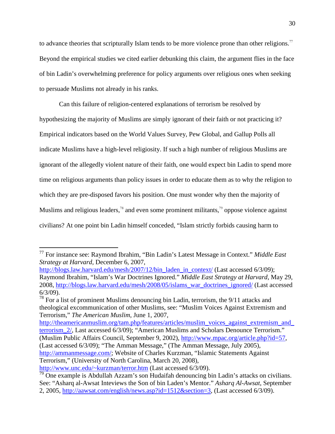to advance theories that scripturally Islam tends to be more violence prone than other religions.<sup>77</sup> Beyond the empirical studies we cited earlier debunking this claim, the argument flies in the face of bin Ladin's overwhelming preference for policy arguments over religious ones when seeking to persuade Muslims not already in his ranks.

Can this failure of religion-centered explanations of terrorism be resolved by hypothesizing the majority of Muslims are simply ignorant of their faith or not practicing it? Empirical indicators based on the World Values Survey, Pew Global, and Gallup Polls all indicate Muslims have a high-level religiosity. If such a high number of religious Muslims are ignorant of the allegedly violent nature of their faith, one would expect bin Ladin to spend more time on religious arguments than policy issues in order to educate them as to why the religion to which they are pre-disposed favors his position. One must wonder why then the majority of Muslims and religious leaders,<sup>78</sup> and even some prominent militants,<sup>79</sup> oppose violence against civilians? At one point bin Ladin himself conceded, "Islam strictly forbids causing harm to

<sup>77</sup> For instance see: Raymond Ibrahim, "Bin Ladin's Latest Message in Context." *Middle East Strategy at Harvard*, December 6, 2007,

http://blogs.law.harvard.edu/mesh/2007/12/bin\_laden\_in\_context/ (Last accessed 6/3/09); Raymond Ibrahim, "Islam's War Doctrines Ignored." *Middle East Strategy at Harvard*, May 29, 2008, http://blogs.law.harvard.edu/mesh/2008/05/islams\_war\_doctrines\_ignored/ (Last accessed 6/3/09).

 $78$  For a list of prominent Muslims denouncing bin Ladin, terrorism, the  $9/11$  attacks and theological excommunication of other Muslims, see: "Muslim Voices Against Extremism and Terrorism," *The American Muslim*, June 1, 2007,

http://theamericanmuslim.org/tam.php/features/articles/muslim\_voices\_against\_extremism\_and\_ terrorism\_2/, Last accessed 6/3/09); "American Muslims and Scholars Denounce Terrorism." (Muslim Public Affairs Council, September 9, 2002), http://www.mpac.org/article.php?id=57, (Last accessed 6/3/09); "The Amman Message," (The Amman Message, July 2005), http://ammanmessage.com/; Website of Charles Kurzman, "Islamic Statements Against Terrorism," (University of North Carolina, March 20, 2008), http://www.unc.edu/~kurzman/terror.htm (Last accessed 6/3/09).

 $79$  One example is Abdullah Azzam's son Hudaifah denouncing bin Ladin's attacks on civilians. See: "Asharq al-Awsat Inteviews the Son of bin Laden's Mentor." *Asharq Al-Awsat*, September 2, 2005, http://aawsat.com/english/news.asp?id=1512&section=3, (Last accessed 6/3/09).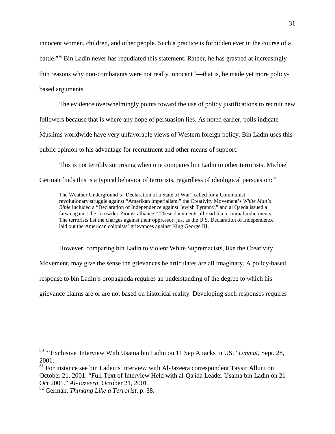innocent women, children, and other people. Such a practice is forbidden ever in the course of a battle."<sup>80</sup> Bin Ladin never has repudiated this statement. Rather, he has grasped at increasingly thin reasons why non-combatants were not really innocent<sup>81</sup>—that is, he made yet more policybased arguments.

The evidence overwhelmingly points toward the use of policy justifications to recruit new followers because that is where any hope of persuasion lies. As noted earlier, polls indicate Muslims worldwide have very unfavorable views of Western foreign policy. Bin Ladin uses this public opinion to his advantage for recruitment and other means of support.

This is not terribly surprising when one compares bin Ladin to other terrorists. Michael German finds this is a typical behavior of terrorists, regardless of ideological persuasion:<sup>82</sup>

The Weather Underground's "Declaration of a State of War" called for a Communist revolutionary struggle against "Amerikan imperialism," the Creativity Movement's *White Man's Bible* included a "Declaration of Independence against Jewish Tyranny," and al Qaeda issued a fatwa against the "crusader-Zionist alliance." These documents all read like criminal indictments. The terrorists list the charges against their oppressor, just as the U.S. Declaration of Independence laid out the American colonists' grievances against King George III.

However, comparing bin Ladin to violent White Supremacists, like the Creativity Movement, may give the sense the grievances he articulates are all imaginary. A policy-based response to bin Ladin's propaganda requires an understanding of the degree to which his grievance claims are or are not based on historical reality. Developing such responses requires

<sup>80</sup> "'Exclusive' Interview With Usama bin Ladin on 11 Sep Attacks in US." *Ummat*, Sept. 28, 2001.

<sup>&</sup>lt;sup>81</sup> For instance see bin Laden's interview with Al-Jazeera correspondent Taysir Alluni on October 21, 2001. "Full Text of Interview Held with al-Qa'ida Leader Usama bin Ladin on 21 Oct 2001." *Al-Jazeera*, October 21, 2001.

<sup>82</sup> German, *Thinking Like a Terrorist*, p. 38.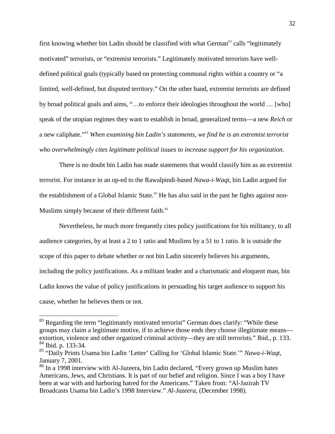first knowing whether bin Ladin should be classified with what German<sup>83</sup> calls "legitimately" motivated" terrorists, or "extremist terrorists." Legitimately motivated terrorists have welldefined political goals (typically based on protecting communal rights within a country or "a limited, well-defined, but disputed territory." On the other hand, extremist terrorists are defined by broad political goals and aims, "…to enforce their ideologies throughout the world … [who] speak of the utopian regimes they want to establish in broad, generalized terms—a new *Reich* or a new caliphate."<sup>84</sup> *When examining bin Ladin's statements, we find he is an extremist terrorist who overwhelmingly cites legitimate political issues to increase support for his organization*.

There is no doubt bin Ladin has made statements that would classify him as an extremist terrorist. For instance in an op-ed to the Rawalpindi-based *Nawa-i-Waqt*, bin Ladin argued for the establishment of a Global Islamic State.<sup>85</sup> He has also said in the past he fights against non-Muslims simply because of their different faith.<sup>86</sup>

Nevertheless, he much more frequently cites policy justifications for his militancy, to all audience categories, by at least a 2 to 1 ratio and Muslims by a 51 to 1 ratio. It is outside the scope of this paper to debate whether or not bin Ladin sincerely believes his arguments, including the policy justifications. As a militant leader and a charismatic and eloquent man, bin Ladin knows the value of policy justifications in persuading his target audience to support his cause, whether he believes them or not.

<sup>&</sup>lt;sup>83</sup> Regarding the term "legitimately motivated terrorist" German does clarify: "While these groups may claim a legitimate motive, if to achieve those ends they choose illegitimate means extortion, violence and other organized criminal activity—they are still terrorists." Ibid., p. 133. <sup>84</sup> Ibid. p. 133-34.

<sup>85</sup> "Daily Prints Usama bin Ladin 'Letter' Calling for 'Global Islamic State.'" *Nawa-i-Waqt*, January 7, 2001.

<sup>&</sup>lt;sup>86</sup> In a 1998 interview with Al-Jazeera, bin Ladin declared, "Every grown up Muslim hates Americans, Jews, and Christians. It is part of our belief and religion. Since I was a boy I have been at war with and harboring hatred for the Americans." Taken from: "Al-Jazirah TV Broadcasts Usama bin Ladin's 1998 Interview." *Al-Jazeera*, (December 1998).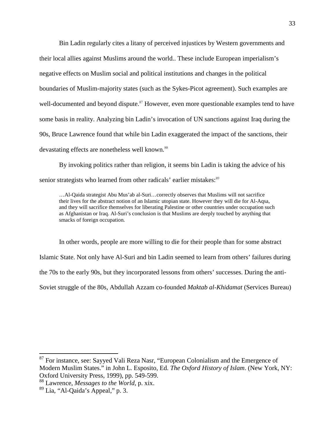Bin Ladin regularly cites a litany of perceived injustices by Western governments and their local allies against Muslims around the world.. These include European imperialism's negative effects on Muslim social and political institutions and changes in the political boundaries of Muslim-majority states (such as the Sykes-Picot agreement). Such examples are well-documented and beyond dispute.<sup>87</sup> However, even more questionable examples tend to have some basis in reality. Analyzing bin Ladin's invocation of UN sanctions against Iraq during the 90s, Bruce Lawrence found that while bin Ladin exaggerated the impact of the sanctions, their devastating effects are nonetheless well known.<sup>88</sup>

By invoking politics rather than religion, it seems bin Ladin is taking the advice of his senior strategists who learned from other radicals' earlier mistakes:<sup>89</sup>

…Al-Qaida strategist Abu Mus'ab al-Suri…correctly observes that Muslims will not sacrifice their lives for the abstract notion of an Islamic utopian state. However they will die for Al-Aqsa, and they will sacrifice themselves for liberating Palestine or other countries under occupation such as Afghanistan or Iraq. Al-Suri's conclusion is that Muslims are deeply touched by anything that smacks of foreign occupation.

In other words, people are more willing to die for their people than for some abstract Islamic State. Not only have Al-Suri and bin Ladin seemed to learn from others' failures during the 70s to the early 90s, but they incorporated lessons from others' successes. During the anti-Soviet struggle of the 80s, Abdullah Azzam co-founded *Maktab al-Khidamat* (Services Bureau)

<sup>&</sup>lt;sup>87</sup> For instance, see: Sayyed Vali Reza Nasr, "European Colonialism and the Emergence of Modern Muslim States." in John L. Esposito, Ed. *The Oxford History of Islam*. (New York, NY: Oxford University Press, 1999), pp. 549-599.

<sup>88</sup> Lawrence, *Messages to the World*, p. xix.

 $89$  Lia, "Al-Qaida's Appeal," p. 3.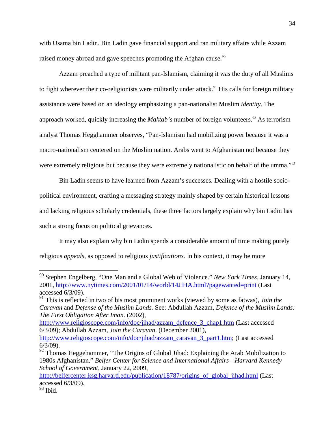with Usama bin Ladin. Bin Ladin gave financial support and ran military affairs while Azzam raised money abroad and gave speeches promoting the Afghan cause.<sup>90</sup>

Azzam preached a type of militant pan-Islamism, claiming it was the duty of all Muslims to fight wherever their co-religionists were militarily under attack.<sup>91</sup> His calls for foreign military assistance were based on an ideology emphasizing a pan-nationalist Muslim *identity*. The approach worked, quickly increasing the *Maktab's* number of foreign volunteers.<sup>92</sup> As terrorism analyst Thomas Hegghammer observes, "Pan-Islamism had mobilizing power because it was a macro-nationalism centered on the Muslim nation. Arabs went to Afghanistan not because they were extremely religious but because they were extremely nationalistic on behalf of the umma."<sup>93</sup>

Bin Ladin seems to have learned from Azzam's successes. Dealing with a hostile sociopolitical environment, crafting a messaging strategy mainly shaped by certain historical lessons and lacking religious scholarly credentials, these three factors largely explain why bin Ladin has such a strong focus on political grievances.

It may also explain why bin Ladin spends a considerable amount of time making purely religious *appeals*, as opposed to religious *justifications*. In his context, it may be more

<sup>90</sup> Stephen Engelberg, "One Man and a Global Web of Violence." *New York Times*, January 14, 2001, http://www.nytimes.com/2001/01/14/world/14JIHA.html?pagewanted=print (Last accessed 6/3/09).

<sup>91</sup> This is reflected in two of his most prominent works (viewed by some as fatwas), *Join the Caravan* and *Defense of the Muslim Lands.* See: Abdullah Azzam, *Defence of the Muslim Lands: The First Obligation After Iman*. (2002),

http://www.religioscope.com/info/doc/jihad/azzam\_defence\_3\_chap1.htm (Last accessed 6/3/09); Abdullah Azzam, *Join the Caravan*. (December 2001),

http://www.religioscope.com/info/doc/jihad/azzam\_caravan\_3\_part1.htm; (Last accessed 6/3/09).

 $92$  Thomas Heggehammer, "The Origins of Global Jihad: Explaining the Arab Mobilization to 1980s Afghanistan." *Belfer Center for Science and International Affairs—Harvard Kennedy School of Government*, January 22, 2009,

http://belfercenter.ksg.harvard.edu/publication/18787/origins of global jihad.html (Last accessed 6/3/09).

 $93$  Ibid.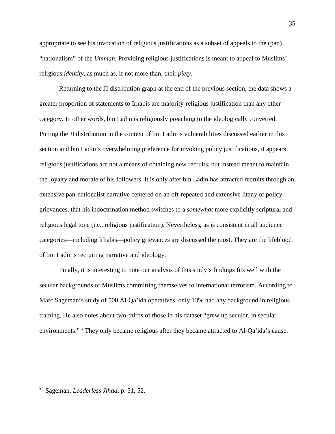appropriate to see his invocation of religious justifications as a subset of appeals to the (pan) "nationalism" of the *Ummah*. Providing religious justifications is meant to appeal to Muslims' religious *identity*, as much as, if not more than, their *piety*.

Returning to the JI distribution graph at the end of the previous section, the data shows a greater proportion of statements to Irhabis are majority-religious justification than any other category. In other words, bin Ladin is religiously preaching to the ideologically converted. Putting the JI distribution in the context of bin Ladin's vulnerabilities discussed earlier in this section and bin Ladin's overwhelming preference for invoking policy justifications, it appears religious justifications are not a means of obtaining new recruits, but instead meant to maintain the loyalty and morale of his followers. It is only after bin Ladin has attracted recruits through an extensive pan-nationalist narrative centered on an oft-repeated and extensive litany of policy grievances, that his indoctrination method switches to a *somewhat* more explicitly scriptural and religious legal tone (i.e., religious justification). Nevertheless, as is consistent in all audience categories—including Irhabis—policy grievances are discussed the most. They are the lifeblood of bin Ladin's recruiting narrative and ideology.

Finally, it is interesting to note our analysis of this study's findings fits well with the secular backgrounds of Muslims committing themselves to international terrorism. According to Marc Sageman's study of 500 Al-Qa'ida operatives, only 13% had any background in religious training. He also notes about two-thirds of those in his dataset "grew up secular, in secular environments."<sup>94</sup> They only became religious after they became attracted to Al-Qa'ida's cause.

<sup>94</sup> Sageman, *Leaderless Jihad*, p. 51, 52.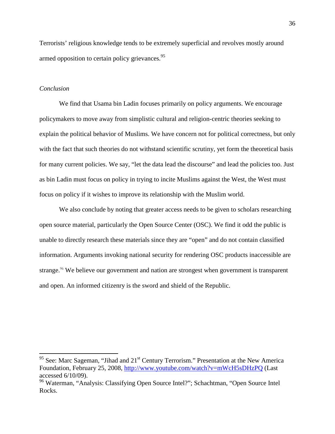Terrorists' religious knowledge tends to be extremely superficial and revolves mostly around armed opposition to certain policy grievances.<sup>95</sup>

#### *Conclusion*

We find that Usama bin Ladin focuses primarily on policy arguments. We encourage policymakers to move away from simplistic cultural and religion-centric theories seeking to explain the political behavior of Muslims. We have concern not for political correctness, but only with the fact that such theories do not withstand scientific scrutiny, yet form the theoretical basis for many current policies. We say, "let the data lead the discourse" and lead the policies too. Just as bin Ladin must focus on policy in trying to incite Muslims against the West, the West must focus on policy if it wishes to improve its relationship with the Muslim world.

We also conclude by noting that greater access needs to be given to scholars researching open source material, particularly the Open Source Center (OSC). We find it odd the public is unable to directly research these materials since they are "open" and do not contain classified information. Arguments invoking national security for rendering OSC products inaccessible are strange.<sup>96</sup> We believe our government and nation are strongest when government is transparent and open. An informed citizenry is the sword and shield of the Republic.

<sup>&</sup>lt;sup>95</sup> See: Marc Sageman, "Jihad and 21<sup>st</sup> Century Terrorism." Presentation at the New America Foundation, February 25, 2008, http://www.youtube.com/watch?v=mWcH5sDHzPQ (Last accessed 6/10/09).

<sup>96</sup> Waterman, "Analysis: Classifying Open Source Intel?"; Schachtman, "Open Source Intel Rocks.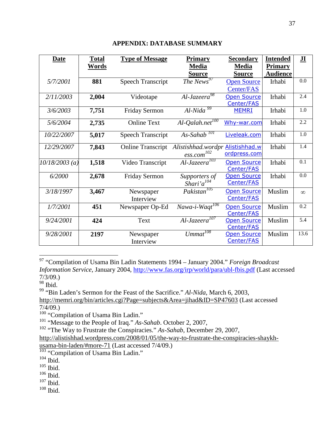| <b>Date</b>      | <b>Total</b><br><u>Words</u> | <b>Type of Message</b>   | <b>Primary</b><br><b>Media</b>                 | <b>Secondary</b><br><b>Media</b> | <b>Intended</b><br><b>Primary</b> | $\overline{\mathbf{H}}$ |
|------------------|------------------------------|--------------------------|------------------------------------------------|----------------------------------|-----------------------------------|-------------------------|
|                  |                              |                          | <b>Source</b>                                  | <b>Source</b>                    | <b>Audience</b>                   |                         |
| 5/7/2001         | 881                          | <b>Speech Transcript</b> | The $News^{97}$                                | <b>Open Source</b><br>Center/FAS | Irhabi                            | 0.0                     |
| 2/11/2003        | 2,004                        | Videotape                | Al-Jazeera <sup>98</sup>                       | <b>Open Source</b><br>Center/FAS | Irhabi                            | 2.4                     |
| 3/6/2003         | 7,751                        | Friday Sermon            | $Al-Nida99$                                    | <b>MEMRI</b>                     | Irhabi                            | 1.0                     |
| 5/6/2004         | 2,735                        | <b>Online Text</b>       | $Al\text{-}Qalah.net^{100}$                    | Why-war.com                      | Irhabi                            | 2.2                     |
| 10/22/2007       | 5,017                        | <b>Speech Transcript</b> | $As-Sahab$ <sup>101</sup>                      | Liveleak.com                     | Irhabi                            | 1.0                     |
| 12/29/2007       | 7,843                        | <b>Online Transcript</b> | Alistishhad.wordpr<br>$\mathit{ess.com}^{102}$ | Alistishhad.w<br>ordpress.com    | Irhabi                            | 1.4                     |
| $10/18/2003$ (a) | 1,518                        | Video Transcript         | Al-Jazeera <sup>103</sup>                      | <b>Open Source</b><br>Center/FAS | Irhabi                            | 0.1                     |
| 6/2000           | 2,678                        | Friday Sermon            | Supporters of<br>Shari'a <sup>104</sup>        | <b>Open Source</b><br>Center/FAS | Irhabi                            | 0.0                     |
| 3/18/1997        | 3,467                        | Newspaper<br>Interview   | Pakistan <sup>105</sup>                        | <b>Open Source</b><br>Center/FAS | Muslim                            | $\infty$                |
| 1/7/2001         | 451                          | Newspaper Op-Ed          | Nawa-i-Waqt <sup>106</sup>                     | <b>Open Source</b><br>Center/FAS | Muslim                            | 0.2                     |
| 9/24/2001        | 424                          | Text                     | $Al\text{-}Jazeera^{107}$                      | <b>Open Source</b><br>Center/FAS | Muslim                            | 5.4                     |
| 9/28/2001        | 2197                         | Newspaper<br>Interview   | $Ummat^{108}$                                  | <b>Open Source</b><br>Center/FAS | Muslim                            | 13.6                    |

## **APPENDIX: DATABASE SUMMARY**

<sup>97</sup> "Compilation of Usama Bin Ladin Statements 1994 – January 2004." *Foreign Broadcast Information Service*, January 2004, http://www.fas.org/irp/world/para/ubl-fbis.pdf (Last accessed 7/3/09.)

<sup>99</sup> "Bin Laden's Sermon for the Feast of the Sacrifice." *Al-Nida*, March 6, 2003, http://memri.org/bin/articles.cgi?Page=subjects&Area=jihad&ID=SP47603 (Last accessed

7/4/09.)

<sup>100</sup> "Compilation of Usama Bin Ladin."

<sup>101</sup> "Message to the People of Iraq." *As-Sahab*. October 2, 2007,

<sup>102</sup> "The Way to Frustrate the Conspiracies." *As-Sahab*, December 29, 2007,

http://alistishhad.wordpress.com/2008/01/05/the-way-to-frustrate-the-conspiracies-shaykh-

usama-bin-laden/#more-71 (Last accessed 7/4/09.)

<sup>103</sup> "Compilation of Usama Bin Ladin."

 $104$  Ibid.

 $^{105}$  Ibid.

 $106$  Ibid.

<sup>107</sup> Ibid.

 $108$  Ibid.

 $\frac{98}{98}$  Ibid.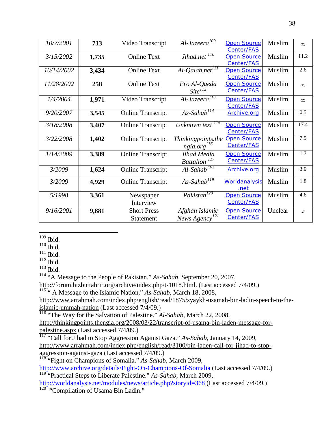| 10/7/2001  | 713   | Video Transcript                | $Al-Jazeera109$                              | <b>Open Source</b><br>Center/FAS | Muslim  | $\infty$ |
|------------|-------|---------------------------------|----------------------------------------------|----------------------------------|---------|----------|
| 3/15/2002  | 1,735 | <b>Online Text</b>              | Jihad.net <sup>110</sup>                     | <b>Open Source</b><br>Center/FAS | Muslim  | 11.2     |
| 10/14/2002 | 3,434 | <b>Online Text</b>              | $Al$ -Qalah.net $^{ITT}$                     | <b>Open Source</b><br>Center/FAS | Muslim  | 2.6      |
| 11/28/2002 | 258   | <b>Online Text</b>              | Pro Al-Qaeda<br>$Site^{\overline{I}I2}$      | <b>Open Source</b><br>Center/FAS | Muslim  | $\infty$ |
| 1/4/2004   | 1,971 | Video Transcript                | $Al-JazeeraT13$                              | <b>Open Source</b><br>Center/FAS | Muslim  | $\infty$ |
| 9/20/2007  | 3,545 | <b>Online Transcript</b>        | $As-Sahab^{114}$                             | Archive.org                      | Muslim  | 0.5      |
| 3/18/2008  | 3,407 | <b>Online Transcript</b>        | Unknown text <sup>115</sup>                  | <b>Open Source</b><br>Center/FAS | Muslim  | 17.4     |
| 3/22/2008  | 1,402 | <b>Online Transcript</b>        | Thinkingpoints.the<br>ngia.org $^{116}$      | <b>Open Source</b><br>Center/FAS | Muslim  | 7.9      |
| 1/14/2009  | 3,389 | <b>Online Transcript</b>        | Jihad Media<br>Battalion <sup>117</sup>      | <b>Open Source</b><br>Center/FAS | Muslim  | 1.7      |
| 3/2009     | 1,624 | <b>Online Transcript</b>        | $Al-Sahab$ <sup>118</sup>                    | Archive.org                      | Muslim  | 3.0      |
| 3/2009     | 4,929 | <b>Online Transcript</b>        | $As-Sahab$ <sup>119</sup>                    | Worldanalysis<br>.net            | Muslim  | 1.8      |
| 5/1998     | 3,361 | Newspaper<br>Interview          | Pakistan <sup>120</sup>                      | <b>Open Source</b><br>Center/FAS | Muslim  | 4.6      |
| 9/16/2001  | 9,881 | <b>Short Press</b><br>Statement | Afghan Islamic<br>News Agency <sup>121</sup> | <b>Open Source</b><br>Center/FAS | Unclear | $\infty$ |

 $109$  Ibid.

 $110$  Ibid.

 $111$  Ibid.

 $^{112}$  Ibid.

 $113$  Ibid.

<sup>114</sup> "A Message to the People of Pakistan." *As-Sahab*, September 20, 2007,

http://forum.hizbuttahrir.org/archive/index.php/t-1018.html. (Last accessed 7/4/09.)

<sup>115</sup> " A Message to the Islamic Nation." *As-Sahab*, March 18, 2008,

http://www.arrahmah.com/index.php/english/read/1875/syaykh-usamah-bin-ladin-speech-to-theislamic-ummah-nation (Last accessed 7/4/09.)

<sup>116</sup> "The Way for the Salvation of Palestine." *Al-Sahab*, March 22, 2008,

http://thinkingpoints.thengia.org/2008/03/22/transcript-of-usama-bin-laden-message-forpalestine.aspx (Last accessed 7/4/09.)

<sup>117</sup> "Call for Jihad to Stop Aggression Against Gaza." *As-Sahab*, January 14, 2009, http://www.arrahmah.com/index.php/english/read/3100/bin-laden-call-for-jihad-to-stopaggression-against-gaza (Last accessed 7/4/09.)

<sup>118</sup> "Fight on Champions of Somalia." *As-Sahab*, March 2009,

http://www.archive.org/details/Fight-On-Champions-Of-Somalia (Last accessed 7/4/09.) <sup>119</sup> "Practical Steps to Liberate Palestine." *As-Sahab*, March 2009,

http://worldanalysis.net/modules/news/article.php?storyid=368 (Last accessed 7/4/09.)

<sup>120</sup> "Compilation of Usama Bin Ladin."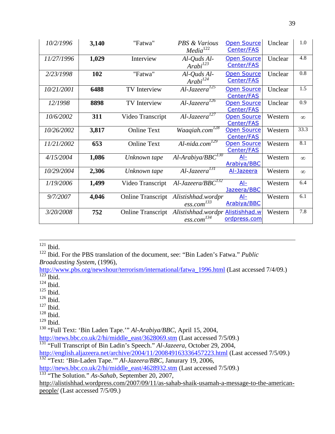| 10/2/1996  | 3,140 | "Fatwa"                  | <b>PBS &amp; Various</b><br>$Media^{122}$                    | <b>Open Source</b><br>Center/FAS | Unclear | 1.0      |
|------------|-------|--------------------------|--------------------------------------------------------------|----------------------------------|---------|----------|
| 11/27/1996 | 1,029 | Interview                | $Al$ -Quds $Al$ -<br>$Arabi^{123}$                           | <b>Open Source</b><br>Center/FAS | Unclear | 4.8      |
| 2/23/1998  | 102   | "Fatwa"                  | $Al$ -Quds $Al$ -<br>$Arabi^{124}$                           | <b>Open Source</b><br>Center/FAS | Unclear | 0.8      |
| 10/21/2001 | 6488  | <b>TV</b> Interview      | Al-Jazeera <sup>125</sup>                                    | <b>Open Source</b><br>Center/FAS | Unclear | 1.5      |
| 12/1998    | 8898  | <b>TV</b> Interview      | Al-Jazeera <sup>126</sup>                                    | <b>Open Source</b><br>Center/FAS | Unclear | 0.9      |
| 10/6/2002  | 311   | Video Transcript         | $Al\text{-}Jazeera^{127}$                                    | <b>Open Source</b><br>Center/FAS | Western | $\infty$ |
| 10/26/2002 | 3,817 | <b>Online Text</b>       | Waaqiah.com <sup>128</sup>                                   | <b>Open Source</b><br>Center/FAS | Western | 33.3     |
| 11/21/2002 | 653   | <b>Online Text</b>       | $Al-nida.com^{129}$                                          | <b>Open Source</b><br>Center/FAS | Western | 8.1      |
| 4/15/2004  | 1,086 | Unknown tape             | $Al-Arabiya/BBC^{130}$                                       | <u>Al-</u><br><b>Arabiya/BBC</b> | Western | $\infty$ |
| 10/29/2004 | 2,306 | Unknown tape             | $Al\text{-}Jazeera^{131}$                                    | Al-Jazeera                       | Western | $\infty$ |
| 1/19/2006  | 1,499 | Video Transcript         | Al-Jazeera/BB $\overline{C}^{132}$                           | $Al-$<br>Jazeera/BBC             | Western | 6.4      |
| 9/7/2007   | 4,046 | <b>Online Transcript</b> | Alistishhad.wordpr<br>$\frac{ess.com^{133}}{s}$              | $Al-$<br><b>Arabiya/BBC</b>      | Western | 6.1      |
| 3/20/2008  | 752   | <b>Online Transcript</b> | Alistishhad.wordpr Alistishhad.w<br>$\mathit{ess.com}^{134}$ | ordpress.com                     | Western | 7.8      |

 $121$  Ibid.

<sup>122</sup> Ibid. For the PBS translation of the document, see: "Bin Laden's Fatwa." *Public Broadcasting System*, (1996),

http://www.pbs.org/newshour/terrorism/international/fatwa\_1996.html (Last accessed 7/4/09.)  $\frac{123}{123}$  Ibid.

 $124$  Ibid.

- $125$  Ibid.
- $^{126}$  Ibid.
- $127$  Ibid.
- $128$  Ibid.
- $129$  Ibid.

<sup>130</sup> "Full Text: 'Bin Laden Tape.'" *Al-Arabiya/BBC*, April 15, 2004,

http://news.bbc.co.uk/2/hi/middle\_east/3628069.stm (Last accessed 7/5/09.)

<sup>131</sup> "Full Transcript of Bin Ladin's Speech." *Al-Jazeera*, October 29, 2004,

http://english.aljazeera.net/archive/2004/11/200849163336457223.html (Last accessed 7/5/09.) <sup>132</sup> "Text: 'Bin-Laden Tape.'" *Al-Jazeera/BBC*, Janurary 19, 2006,

http://news.bbc.co.uk/2/hi/middle\_east/4628932.stm (Last accessed 7/5/09.)

<sup>133</sup> "The Solution." *As-Sahab*, September 20, 2007,

http://alistishhad.wordpress.com/2007/09/11/as-sahab-shaik-usamah-a-message-to-the-americanpeople/ (Last accessed 7/5/09.)